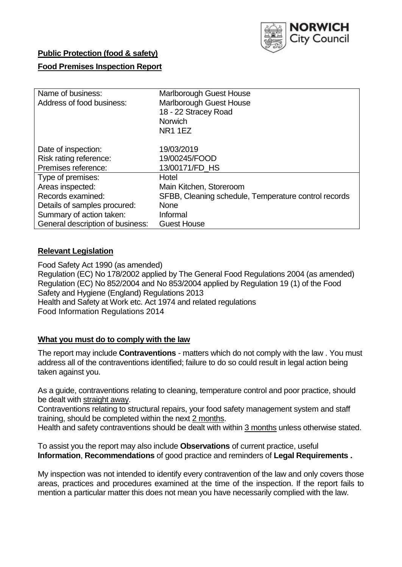

# **Public Protection (food & safety)**

### **Food Premises Inspection Report**

| Name of business:                | <b>Marlborough Guest House</b>                       |  |  |  |  |
|----------------------------------|------------------------------------------------------|--|--|--|--|
| Address of food business:        | <b>Marlborough Guest House</b>                       |  |  |  |  |
|                                  | 18 - 22 Stracey Road                                 |  |  |  |  |
|                                  | <b>Norwich</b>                                       |  |  |  |  |
|                                  | <b>NR1 1EZ</b>                                       |  |  |  |  |
| Date of inspection:              | 19/03/2019                                           |  |  |  |  |
| Risk rating reference:           | 19/00245/FOOD                                        |  |  |  |  |
| Premises reference:              | 13/00171/FD HS                                       |  |  |  |  |
| Type of premises:                | Hotel                                                |  |  |  |  |
| Areas inspected:                 | Main Kitchen, Storeroom                              |  |  |  |  |
| Records examined:                | SFBB, Cleaning schedule, Temperature control records |  |  |  |  |
| Details of samples procured:     | <b>None</b>                                          |  |  |  |  |
| Summary of action taken:         | Informal                                             |  |  |  |  |
| General description of business: | <b>Guest House</b>                                   |  |  |  |  |

### **Relevant Legislation**

Food Safety Act 1990 (as amended) Regulation (EC) No 178/2002 applied by The General Food Regulations 2004 (as amended) Regulation (EC) No 852/2004 and No 853/2004 applied by Regulation 19 (1) of the Food Safety and Hygiene (England) Regulations 2013 Health and Safety at Work etc. Act 1974 and related regulations Food Information Regulations 2014

#### **What you must do to comply with the law**

The report may include **Contraventions** - matters which do not comply with the law . You must address all of the contraventions identified; failure to do so could result in legal action being taken against you.

As a guide, contraventions relating to cleaning, temperature control and poor practice, should be dealt with straight away.

Contraventions relating to structural repairs, your food safety management system and staff training, should be completed within the next 2 months.

Health and safety contraventions should be dealt with within 3 months unless otherwise stated.

To assist you the report may also include **Observations** of current practice, useful **Information**, **Recommendations** of good practice and reminders of **Legal Requirements .**

My inspection was not intended to identify every contravention of the law and only covers those areas, practices and procedures examined at the time of the inspection. If the report fails to mention a particular matter this does not mean you have necessarily complied with the law.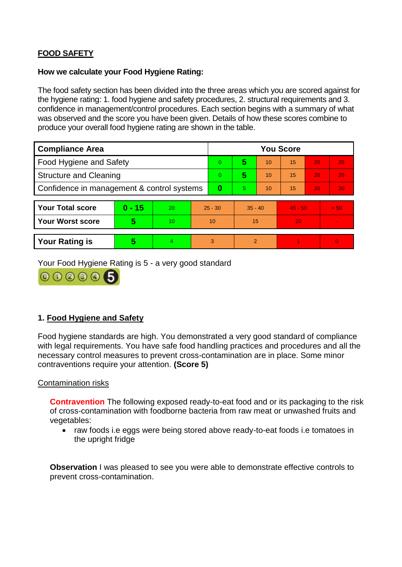# **FOOD SAFETY**

#### **How we calculate your Food Hygiene Rating:**

The food safety section has been divided into the three areas which you are scored against for the hygiene rating: 1. food hygiene and safety procedures, 2. structural requirements and 3. confidence in management/control procedures. Each section begins with a summary of what was observed and the score you have been given. Details of how these scores combine to produce your overall food hygiene rating are shown in the table.

| <b>Compliance Area</b>                     |          |    |           | <b>You Score</b> |                |    |           |    |          |  |  |
|--------------------------------------------|----------|----|-----------|------------------|----------------|----|-----------|----|----------|--|--|
| Food Hygiene and Safety                    |          |    | $\Omega$  | 5                | 10             | 15 | 20        | 25 |          |  |  |
| <b>Structure and Cleaning</b>              |          |    | $\Omega$  | 5                | 10             | 15 | 20        | 25 |          |  |  |
| Confidence in management & control systems |          |    | $\bf{0}$  | 5                | 10             | 15 | 20        | 30 |          |  |  |
|                                            |          |    |           |                  |                |    |           |    |          |  |  |
| <b>Your Total score</b>                    | $0 - 15$ | 20 | $25 - 30$ |                  | $35 - 40$      |    | $45 - 50$ |    | > 50     |  |  |
| <b>Your Worst score</b>                    | 5        | 10 | 10        |                  | 15             |    | 20        |    |          |  |  |
|                                            |          |    |           |                  |                |    |           |    |          |  |  |
| <b>Your Rating is</b>                      | 5        | 4  | 3         |                  | $\overline{2}$ |    |           |    | $\Omega$ |  |  |

Your Food Hygiene Rating is 5 - a very good standard



## **1. Food Hygiene and Safety**

Food hygiene standards are high. You demonstrated a very good standard of compliance with legal requirements. You have safe food handling practices and procedures and all the necessary control measures to prevent cross-contamination are in place. Some minor contraventions require your attention. **(Score 5)**

#### Contamination risks

**Contravention** The following exposed ready-to-eat food and or its packaging to the risk of cross-contamination with foodborne bacteria from raw meat or unwashed fruits and vegetables:

• raw foods i.e eggs were being stored above ready-to-eat foods i.e tomatoes in the upright fridge

**Observation** I was pleased to see you were able to demonstrate effective controls to prevent cross-contamination.